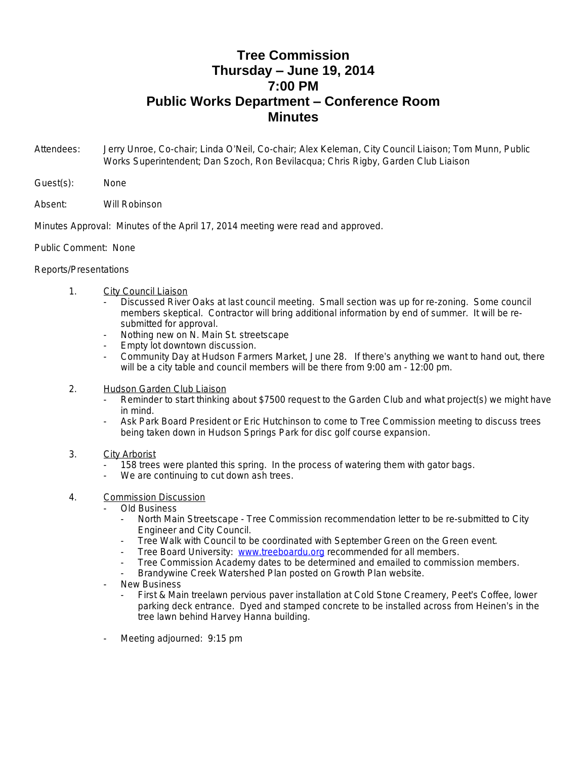## **Tree Commission Thursday – June 19, 2014 7:00 PM Public Works Department – Conference Room Minutes**

- Attendees: Jerry Unroe, Co-chair; Linda O'Neil, Co-chair; Alex Keleman, City Council Liaison; Tom Munn, Public Works Superintendent; Dan Szoch, Ron Bevilacqua; Chris Rigby, Garden Club Liaison
- Guest(s): None
- Absent: Will Robinson

Minutes Approval: Minutes of the April 17, 2014 meeting were read and approved.

Public Comment: None

## Reports/Presentations

- 1. City Council Liaison
	- Discussed River Oaks at last council meeting. Small section was up for re-zoning. Some council members skeptical. Contractor will bring additional information by end of summer. It will be resubmitted for approval.
	- Nothing new on N. Main St. streetscape
	- Empty lot downtown discussion.
	- Community Day at Hudson Farmers Market, June 28. If there's anything we want to hand out, there will be a city table and council members will be there from 9:00 am - 12:00 pm.
- 2. Hudson Garden Club Liaison
	- Reminder to start thinking about \$7500 request to the Garden Club and what project(s) we might have in mind.
	- Ask Park Board President or Eric Hutchinson to come to Tree Commission meeting to discuss trees being taken down in Hudson Springs Park for disc golf course expansion.
- 3. City Arborist
	- 158 trees were planted this spring. In the process of watering them with gator bags.
	- We are continuing to cut down ash trees.

## 4. Commission Discussion

- Old Business
	- North Main Streetscape Tree Commission recommendation letter to be re-submitted to City Engineer and City Council.
	- Tree Walk with Council to be coordinated with September Green on the Green event.
	- Tree Board University: [www.treeboardu.org](http://www.treeboardu.org) recommended for all members.
	- Tree Commission Academy dates to be determined and emailed to commission members.
	- Brandywine Creek Watershed Plan posted on Growth Plan website.
- **New Business** 
	- First & Main treelawn pervious paver installation at Cold Stone Creamery, Peet's Coffee, lower parking deck entrance. Dyed and stamped concrete to be installed across from Heinen's in the tree lawn behind Harvey Hanna building.
- Meeting adjourned: 9:15 pm